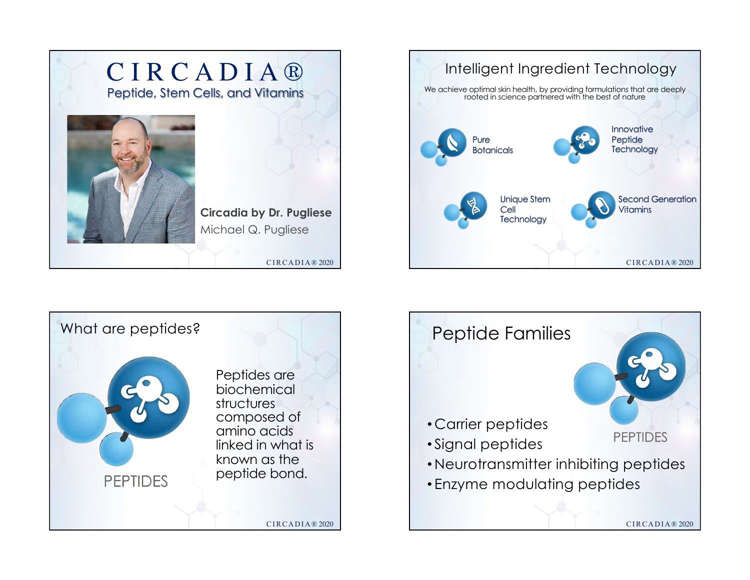





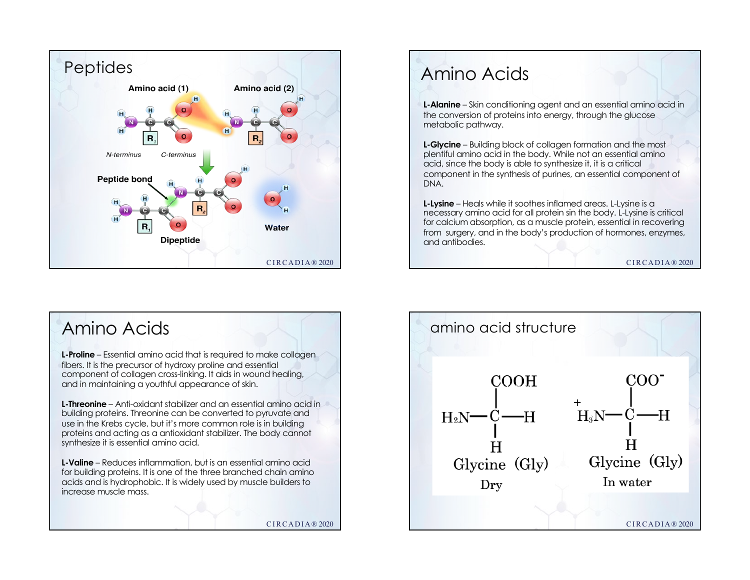

## Amino Acids

**L-Alanine** – Skin conditioning agent and an essential amino acid in the conversion of proteins into energy, through the glucose metabolic pathway.

**L-Glycine** – Building block of collagen formation and the most plentiful amino acid in the body. While not an essential amino acid, since the body is able to synthesize it, it is a critical component in the synthesis of purines, an essential component of DNA.

**L-Lysine** – Heals while it soothes inflamed areas. L-Lysine is a necessary amino acid for all protein sin the body. L-Lysine is critical for calcium absorption, as a muscle protein, essential in recovering from surgery, and in the body's production of hormones, enzymes, and antibodies.

CIRCADIA® 2020



amino acid structure **COOH**  $COO<sup>2</sup>$  $H_2N$ <sup>-C</sup>-H  $H_3N$  -  $C$  - $H$ Glycine (Gly) Glycine (Gly) In water Dry CIRCADIA® 2020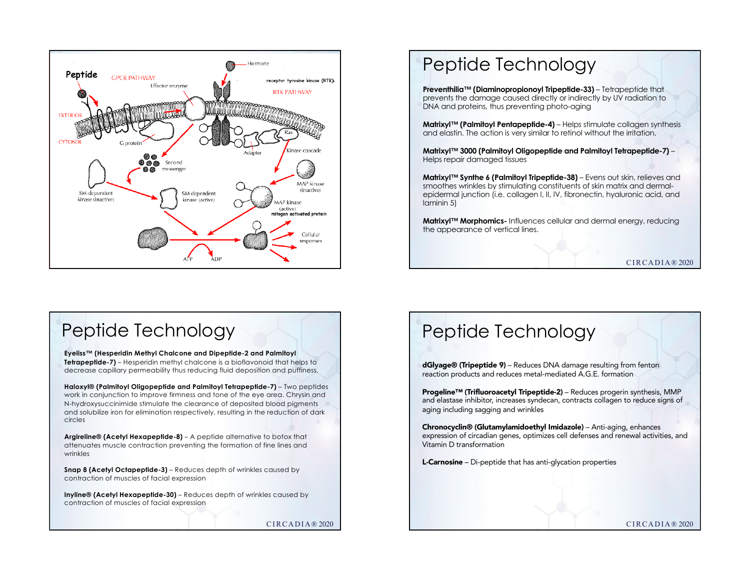

## Peptide Technology

**Preventhilia™ (Diaminopropionoyl Tripeptide-33)** – Tetrapeptide that prevents the damage caused directly or indirectly by UV radiation to DNA and proteins, thus preventing photo-aging

**Matrixyl™ (Palmitoyl Pentapeptide-4)** – Helps stimulate collagen synthesis and elastin. The action is very similar to retinol without the irritation.

**Matrixyl™ 3000 (Palmitoyl Oligopeptide and Palmitoyl Tetrapeptide-7)** – Helps repair damaged tissues

**Matrixyl™ Synthe 6 (Palmitoyl Tripeptide-38)** – Evens out skin, relieves and smoothes wrinkles by stimulating constituents of skin matrix and dermalepidermal junction (i.e. collagen I, II, IV, fibronectin, hyaluronic acid, and laminin 5)

**Matrixyl™ Morphomics-** Influences cellular and dermal energy, reducing the appearance of vertical lines.

 $CIRCADIA@2020$ 

## Peptide Technology

**Eyeliss™ (Hesperidin Methyl Chalcone and Dipeptide-2 and Palmitoyl Tetrapeptide-7)** – Hesperidin methyl chalcone is a bioflavonoid that helps to decrease capillary permeability thus reducing fluid deposition and puffiness.

**Haloxyl® (Palmitoyl Oligopeptide and Palmitoyl Tetrapeptide-7)** – Two peptides work in conjunction to improve firmness and tone of the eye area. Chrysin and N-hydroxysuccinimide stimulate the clearance of deposited blood pigments and solubilize iron for elimination respectively, resulting in the reduction of dark circles

**Argireline® (Acetyl Hexapeptide-8)** – A peptide alternative to botox that attenuates muscle contraction preventing the formation of fine lines and wrinkles

**Snap 8 (Acetyl Octapeptide-3)** – Reduces depth of wrinkles caused by contraction of muscles of facial expression

**Inyline® (Acetyl Hexapeptide-30)** – Reduces depth of wrinkles caused by contraction of muscles of facial expression

CIRCADIA® 2020

## Peptide Technology

dGlyage® (Tripeptide 9) – Reduces DNA damage resulting from fenton reaction products and reduces metal-mediated A.G.E. formation

Progeline™ (Trifluoroacetyl Tripeptide-2) – Reduces progerin synthesis, MMP and elastase inhibitor, increases syndecan, contracts collagen to reduce signs of aging including sagging and wrinkles

Chronocyclin® (Glutamylamidoethyl Imidazole) – Anti-aging, enhances expression of circadian genes, optimizes cell defenses and renewal activities, and Vitamin D transformation

L-Carnosine – Di-peptide that has anti-glycation properties

CIRCADIA® 2020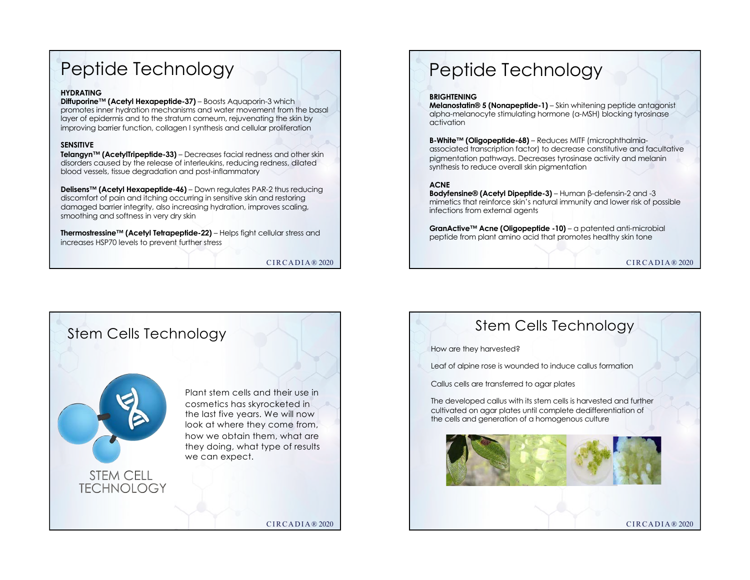## Peptide Technology

#### **HYDRATING**

**Diffuporine™ (Acetyl Hexapeptide-37)** – Boosts Aquaporin-3 which promotes inner hydration mechanisms and water movement from the basal layer of epidermis and to the stratum corneum, rejuvenating the skin by improving barrier function, collagen I synthesis and cellular proliferation

#### **SENSITIVE**

**Telangyn™ (AcetylTripeptide-33)** – Decreases facial redness and other skin disorders caused by the release of interleukins, reducing redness, dilated blood vessels, tissue degradation and post-inflammatory

**Delisens™ (Acetyl Hexapeptide-46)** – Down regulates PAR-2 thus reducing discomfort of pain and itching occurring in sensitive skin and restoring damaged barrier integrity, also increasing hydration, improves scaling, smoothing and softness in very dry skin

**Thermostressine™ (Acetyl Tetrapeptide-22)** – Helps fight cellular stress and increases HSP70 levels to prevent further stress

CIRCADIA® 2020

# Peptide Technology

#### **BRIGHTENING**

**Melanostatin® 5 (Nonapeptide-1)** – Skin whitening peptide antagonist alpha-melanocyte stimulating hormone (α-MSH) blocking tyrosinase activation

**B-White™ (Oligopeptide-68)** – Reduces MITF (microphthalmiaassociated transcription factor) to decrease constitutive and facultative pigmentation pathways. Decreases tyrosinase activity and melanin synthesis to reduce overall skin pigmentation

#### **ACNE**

**Bodyfensine® (Acetyl Dipeptide-3)** – Human β-defensin-2 and -3 mimetics that reinforce skin's natural immunity and lower risk of possible infections from external agents

**GranActive™ Acne (Oligopeptide -10)** – a patented anti-microbial peptide from plant amino acid that promotes healthy skin tone

CIRCADIA® 2020



### Stem Cells Technology

How are they harvested?

Leaf of alpine rose is wounded to induce callus formation

Callus cells are transferred to agar plates

The developed callus with its stem cells is harvested and further cultivated on agar plates until complete dedifferentiation of the cells and generation of a homogenous culture



CIRCADIA® 2020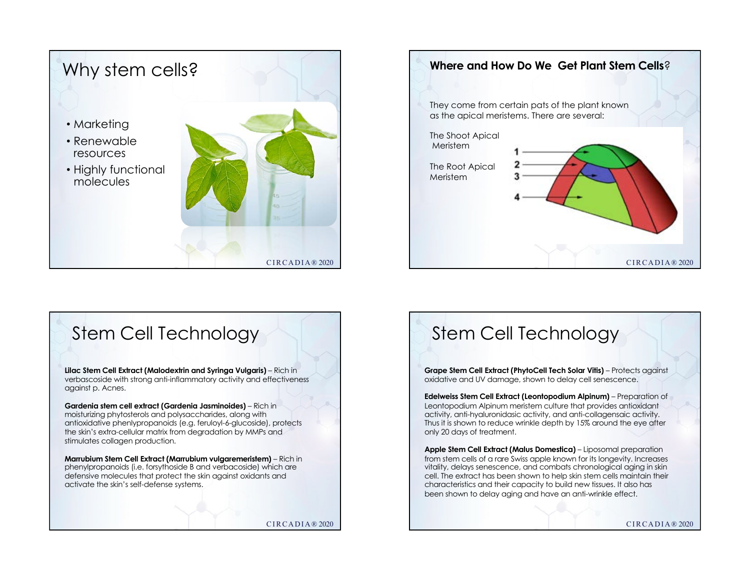



### Stem Cell Technology

**Lilac Stem Cell Extract (Malodextrin and Syringa Vulgaris)** – Rich in verbascoside with strong anti-inflammatory activity and effectiveness against p. Acnes.

**Gardenia stem cell extract (Gardenia Jasminoides)** – Rich in moisturizing phytosterols and polysaccharides, along with antioxidative phenlypropanoids (e.g. feruloyl-6-glucoside), protects the skin's extra-cellular matrix from degradation by MMPs and stimulates collagen production.

**Marrubium Stem Cell Extract (Marrubium vulgaremeristem)** – Rich in phenylpropanoids (i.e. forsythoside B and verbacoside) which are defensive molecules that protect the skin against oxidants and activate the skin's self-defense systems.

CIRCADIA® 2020

## Stem Cell Technology

**Grape Stem Cell Extract (PhytoCell Tech Solar Vitis)** – Protects against oxidative and UV damage, shown to delay cell senescence.

**Edelweiss Stem Cell Extract (Leontopodium Alpinum)** – Preparation of Leontopodium Alpinum meristem culture that provides antioxidant activity, anti-hyaluronidasic activity, and anti-collagensaic activity. Thus it is shown to reduce wrinkle depth by 15% around the eye after only 20 days of treatment.

**Apple Stem Cell Extract (Malus Domestica)** – Liposomal preparation from stem cells of a rare Swiss apple known for its longevity. Increases vitality, delays senescence, and combats chronological aging in skin cell. The extract has been shown to help skin stem cells maintain their characteristics and their capacity to build new tissues. It also has been shown to delay aging and have an anti-wrinkle effect.

CIRCADIA® 2020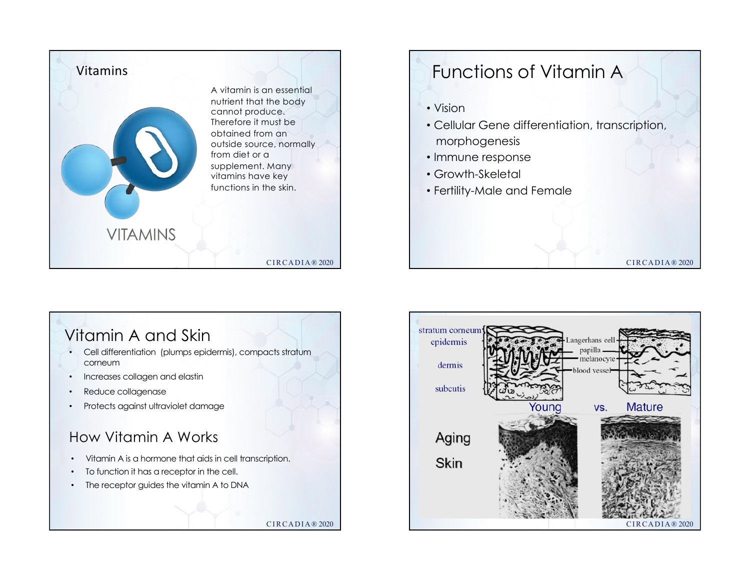

### Vitamin A and Skin

- Cell differentiation (plumps epidermis), compacts stratum corneum
- Increases collagen and elastin
- Reduce collagenase
- Protects against ultraviolet damage

### How Vitamin A Works

• Vitamin A is a hormone that aids in cell transcription.

CIRCADIA® 2020

- To function it has a receptor in the cell.
- The receptor guides the vitamin A to DNA

stratum corneu angerhans ce epidermis papilla voncler dermis subcutis **Mature** Youna VS. Aging Skin CIRCADIA® 2020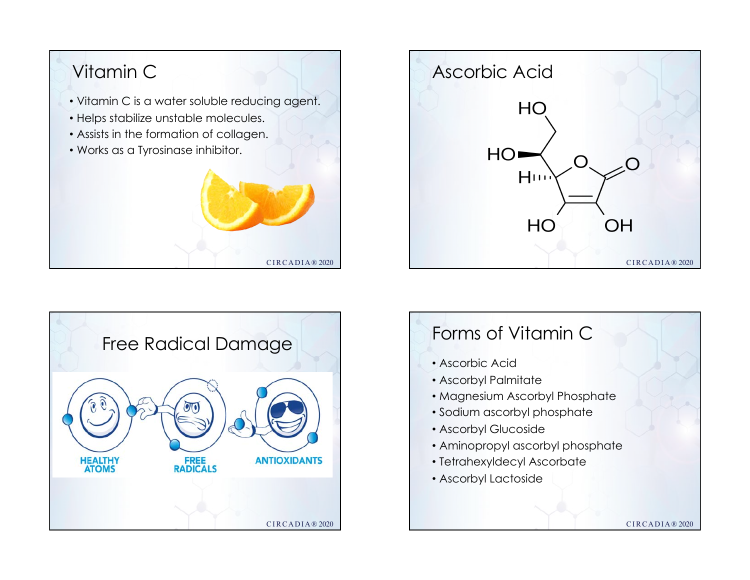





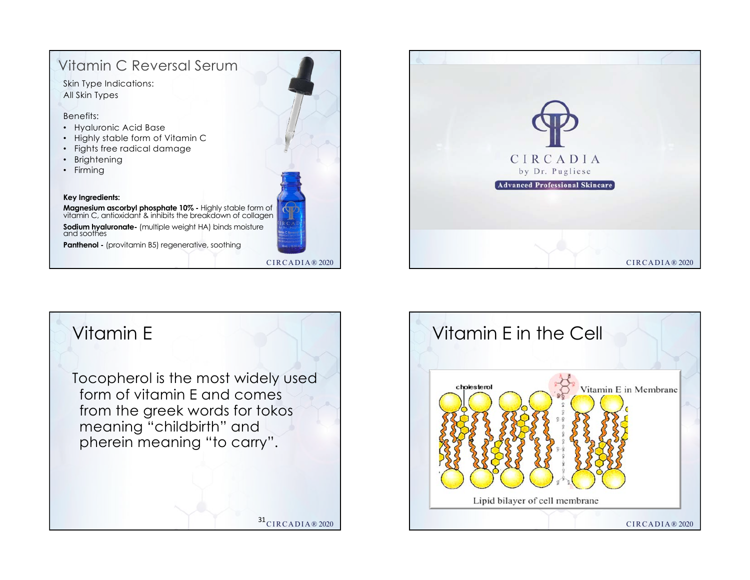### CIRCADIA® 2020 Vitamin C Reversal Serum **Key Ingredients: Magnesium ascorbyl phosphate 10% -** Highly stable form of vitamin C, antioxidant & inhibits the breakdown of collagen **Sodium hyaluronate-** (multiple weight HA) binds moisture and soothes **Panthenol -** (provitamin B5) regenerative, soothing Skin Type Indications: All Skin Types Benefits: • Hyaluronic Acid Base • Highly stable form of Vitamin C • Fights free radical damage • Brightening • Firming





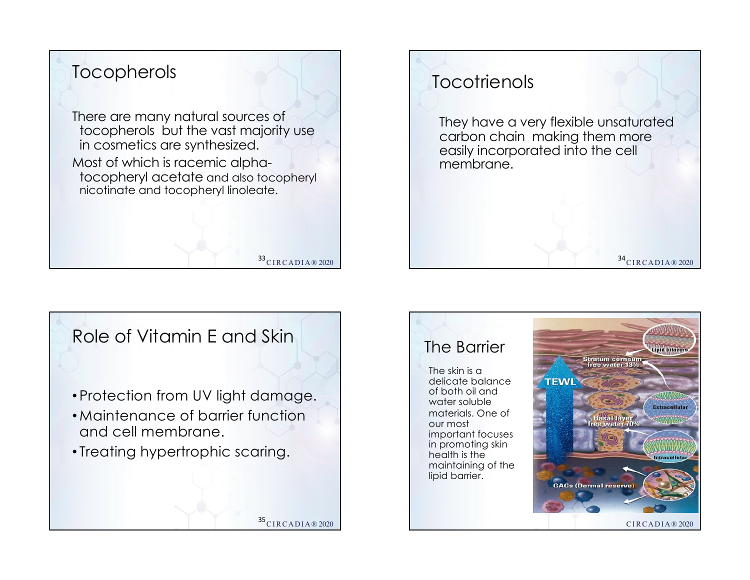





## The Barrier

The skin is a delicate balance of both oil and water soluble materials. One of our most important focuses in promoting skin health is the maintaining of the lipid barrier.